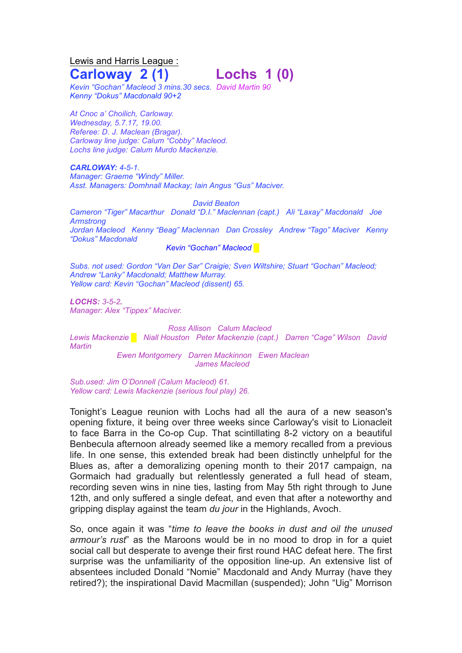## Lewis and Harris League : **Carloway 2 (1) Lochs 1 (0)**

*Kevin "Gochan" Macleod 3 mins.30 secs. David Martin 90 Kenny "Dokus" Macdonald 90+2*

*At Cnoc a' Choilich, Carloway. Wednesday, 5.7.17, 19.00. Referee: D. J. Maclean (Bragar). Carloway line judge: Calum "Cobby" Macleod. Lochs line judge: Calum Murdo Mackenzie.*

*CARLOWAY: 4-5-1. Manager: Graeme "Windy" Miller. Asst. Managers: Domhnall Mackay; Iain Angus "Gus" Maciver.*

*David Beaton Cameron "Tiger" Macarthur Donald "D.I." Maclennan (capt.) Ali "Laxay" Macdonald Joe Armstrong Jordan Macleod Kenny "Beag" Maclennan Dan Crossley Andrew "Tago" Maciver Kenny "Dokus" Macdonald*

*Kevin "Gochan" Macleod* █

*Subs. not used: Gordon "Van Der Sar" Craigie; Sven Wiltshire; Stuart "Gochan" Macleod; Andrew "Lanky" Macdonald; Matthew Murray. Yellow card: Kevin "Gochan" Macleod (dissent) 65.*

*LOCHS: 3-5-2. Manager: Alex "Tippex" Maciver.*

*Ross Allison Calum Macleod Lewis Mackenzie █ Niall Houston Peter Mackenzie (capt.) Darren "Cage" Wilson David Martin Ewen Montgomery Darren Mackinnon Ewen Maclean James Macleod*

*Sub.used: Jim O'Donnell (Calum Macleod) 61. Yellow card: Lewis Mackenzie (serious foul play) 26.*

Tonight's League reunion with Lochs had all the aura of a new season's opening fixture, it being over three weeks since Carloway's visit to Lionacleit to face Barra in the Co-op Cup. That scintillating 8-2 victory on a beautiful Benbecula afternoon already seemed like a memory recalled from a previous life. In one sense, this extended break had been distinctly unhelpful for the Blues as, after a demoralizing opening month to their 2017 campaign, na Gormaich had gradually but relentlessly generated a full head of steam, recording seven wins in nine ties, lasting from May 5th right through to June 12th, and only suffered a single defeat, and even that after a noteworthy and gripping display against the team *du jour* in the Highlands, Avoch.

So, once again it was "*time to leave the books in dust and oil the unused armour's rust*" as the Maroons would be in no mood to drop in for a quiet social call but desperate to avenge their first round HAC defeat here. The first surprise was the unfamiliarity of the opposition line-up. An extensive list of absentees included Donald "Nomie" Macdonald and Andy Murray (have they retired?); the inspirational David Macmillan (suspended); John "Uig" Morrison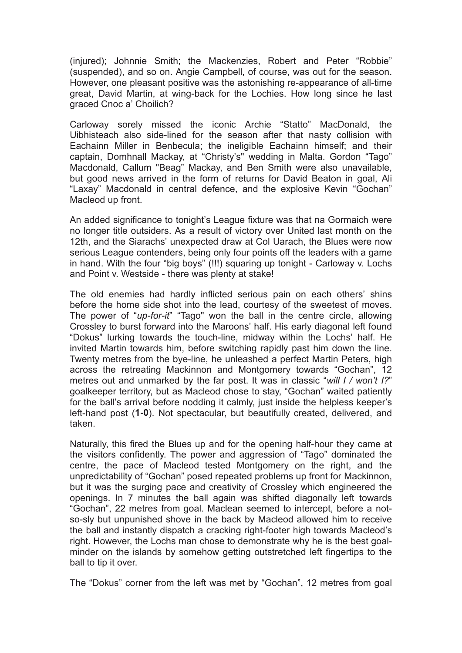(injured); Johnnie Smith; the Mackenzies, Robert and Peter "Robbie" (suspended), and so on. Angie Campbell, of course, was out for the season. However, one pleasant positive was the astonishing re-appearance of all-time great, David Martin, at wing-back for the Lochies. How long since he last graced Cnoc a' Choilich?

Carloway sorely missed the iconic Archie "Statto" MacDonald, the Uibhisteach also side-lined for the season after that nasty collision with Eachainn Miller in Benbecula; the ineligible Eachainn himself; and their captain, Domhnall Mackay, at "Christy's" wedding in Malta. Gordon "Tago" Macdonald, Callum "Beag" Mackay, and Ben Smith were also unavailable, but good news arrived in the form of returns for David Beaton in goal, Ali "Laxay" Macdonald in central defence, and the explosive Kevin "Gochan" Macleod up front.

An added significance to tonight's League fixture was that na Gormaich were no longer title outsiders. As a result of victory over United last month on the 12th, and the Siarachs' unexpected draw at Col Uarach, the Blues were now serious League contenders, being only four points off the leaders with a game in hand. With the four "big boys" (!!!) squaring up tonight - Carloway v. Lochs and Point v. Westside - there was plenty at stake!

The old enemies had hardly inflicted serious pain on each others' shins before the home side shot into the lead, courtesy of the sweetest of moves. The power of "*up-for-it*" "Tago" won the ball in the centre circle, allowing Crossley to burst forward into the Maroons' half. His early diagonal left found "Dokus" lurking towards the touch-line, midway within the Lochs' half. He invited Martin towards him, before switching rapidly past him down the line. Twenty metres from the bye-line, he unleashed a perfect Martin Peters, high across the retreating Mackinnon and Montgomery towards "Gochan", 12 metres out and unmarked by the far post. It was in classic "*will I / won't I?*" goalkeeper territory, but as Macleod chose to stay, "Gochan" waited patiently for the ball's arrival before nodding it calmly, just inside the helpless keeper's left-hand post (**1-0**). Not spectacular, but beautifully created, delivered, and taken.

Naturally, this fired the Blues up and for the opening half-hour they came at the visitors confidently. The power and aggression of "Tago" dominated the centre, the pace of Macleod tested Montgomery on the right, and the unpredictability of "Gochan" posed repeated problems up front for Mackinnon, but it was the surging pace and creativity of Crossley which engineered the openings. In 7 minutes the ball again was shifted diagonally left towards "Gochan", 22 metres from goal. Maclean seemed to intercept, before a notso-sly but unpunished shove in the back by Macleod allowed him to receive the ball and instantly dispatch a cracking right-footer high towards Macleod's right. However, the Lochs man chose to demonstrate why he is the best goalminder on the islands by somehow getting outstretched left fingertips to the ball to tip it over.

The "Dokus" corner from the left was met by "Gochan", 12 metres from goal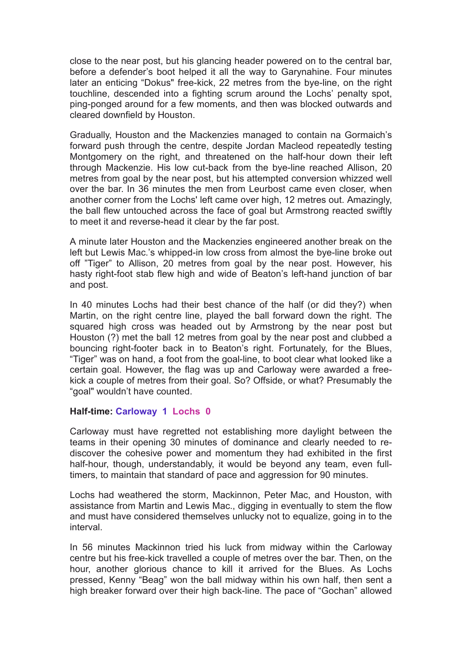close to the near post, but his glancing header powered on to the central bar, before a defender's boot helped it all the way to Garynahine. Four minutes later an enticing "Dokus" free-kick, 22 metres from the bye-line, on the right touchline, descended into a fighting scrum around the Lochs' penalty spot, ping-ponged around for a few moments, and then was blocked outwards and cleared downfield by Houston.

Gradually, Houston and the Mackenzies managed to contain na Gormaich's forward push through the centre, despite Jordan Macleod repeatedly testing Montgomery on the right, and threatened on the half-hour down their left through Mackenzie. His low cut-back from the bye-line reached Allison, 20 metres from goal by the near post, but his attempted conversion whizzed well over the bar. In 36 minutes the men from Leurbost came even closer, when another corner from the Lochs' left came over high, 12 metres out. Amazingly, the ball flew untouched across the face of goal but Armstrong reacted swiftly to meet it and reverse-head it clear by the far post.

A minute later Houston and the Mackenzies engineered another break on the left but Lewis Mac.'s whipped-in low cross from almost the bye-line broke out off "Tiger" to Allison, 20 metres from goal by the near post. However, his hasty right-foot stab flew high and wide of Beaton's left-hand junction of bar and post.

In 40 minutes Lochs had their best chance of the half (or did they?) when Martin, on the right centre line, played the ball forward down the right. The squared high cross was headed out by Armstrong by the near post but Houston (?) met the ball 12 metres from goal by the near post and clubbed a bouncing right-footer back in to Beaton's right. Fortunately, for the Blues, "Tiger" was on hand, a foot from the goal-line, to boot clear what looked like a certain goal. However, the flag was up and Carloway were awarded a freekick a couple of metres from their goal. So? Offside, or what? Presumably the "goal" wouldn't have counted.

## **Half-time: Carloway 1 Lochs 0**

Carloway must have regretted not establishing more daylight between the teams in their opening 30 minutes of dominance and clearly needed to rediscover the cohesive power and momentum they had exhibited in the first half-hour, though, understandably, it would be beyond any team, even fulltimers, to maintain that standard of pace and aggression for 90 minutes.

Lochs had weathered the storm, Mackinnon, Peter Mac, and Houston, with assistance from Martin and Lewis Mac., digging in eventually to stem the flow and must have considered themselves unlucky not to equalize, going in to the interval.

In 56 minutes Mackinnon tried his luck from midway within the Carloway centre but his free-kick travelled a couple of metres over the bar. Then, on the hour, another glorious chance to kill it arrived for the Blues. As Lochs pressed, Kenny "Beag" won the ball midway within his own half, then sent a high breaker forward over their high back-line. The pace of "Gochan" allowed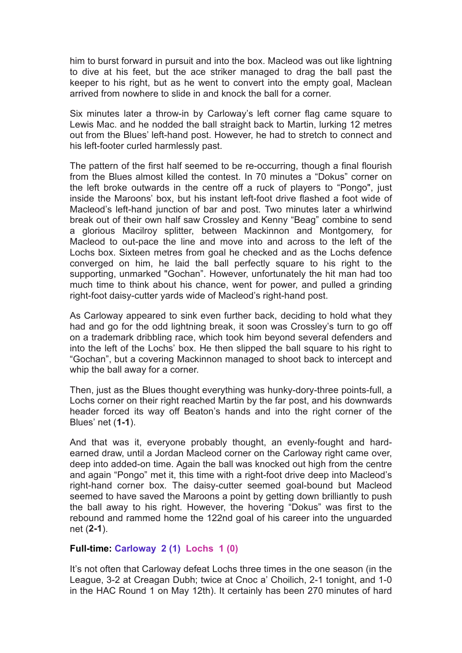him to burst forward in pursuit and into the box. Macleod was out like lightning to dive at his feet, but the ace striker managed to drag the ball past the keeper to his right, but as he went to convert into the empty goal, Maclean arrived from nowhere to slide in and knock the ball for a corner.

Six minutes later a throw-in by Carloway's left corner flag came square to Lewis Mac. and he nodded the ball straight back to Martin, lurking 12 metres out from the Blues' left-hand post. However, he had to stretch to connect and his left-footer curled harmlessly past.

The pattern of the first half seemed to be re-occurring, though a final flourish from the Blues almost killed the contest. In 70 minutes a "Dokus" corner on the left broke outwards in the centre off a ruck of players to "Pongo", just inside the Maroons' box, but his instant left-foot drive flashed a foot wide of Macleod's left-hand junction of bar and post. Two minutes later a whirlwind break out of their own half saw Crossley and Kenny "Beag" combine to send a glorious Macilroy splitter, between Mackinnon and Montgomery, for Macleod to out-pace the line and move into and across to the left of the Lochs box. Sixteen metres from goal he checked and as the Lochs defence converged on him, he laid the ball perfectly square to his right to the supporting, unmarked "Gochan". However, unfortunately the hit man had too much time to think about his chance, went for power, and pulled a grinding right-foot daisy-cutter yards wide of Macleod's right-hand post.

As Carloway appeared to sink even further back, deciding to hold what they had and go for the odd lightning break, it soon was Crossley's turn to go off on a trademark dribbling race, which took him beyond several defenders and into the left of the Lochs' box. He then slipped the ball square to his right to "Gochan", but a covering Mackinnon managed to shoot back to intercept and whip the ball away for a corner.

Then, just as the Blues thought everything was hunky-dory-three points-full, a Lochs corner on their right reached Martin by the far post, and his downwards header forced its way off Beaton's hands and into the right corner of the Blues' net (**1-1**).

And that was it, everyone probably thought, an evenly-fought and hardearned draw, until a Jordan Macleod corner on the Carloway right came over, deep into added-on time. Again the ball was knocked out high from the centre and again "Pongo" met it, this time with a right-foot drive deep into Macleod's right-hand corner box. The daisy-cutter seemed goal-bound but Macleod seemed to have saved the Maroons a point by getting down brilliantly to push the ball away to his right. However, the hovering "Dokus" was first to the rebound and rammed home the 122nd goal of his career into the unguarded net (**2-1**).

## **Full-time: Carloway 2 (1) Lochs 1 (0)**

It's not often that Carloway defeat Lochs three times in the one season (in the League, 3-2 at Creagan Dubh; twice at Cnoc a' Choilich, 2-1 tonight, and 1-0 in the HAC Round 1 on May 12th). It certainly has been 270 minutes of hard